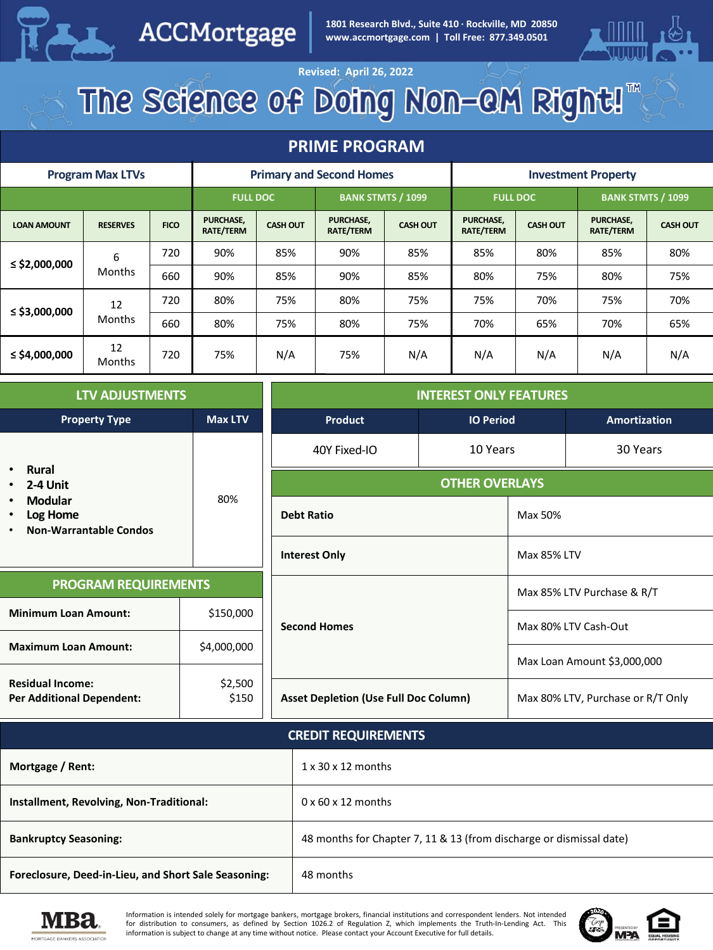

ACCMortgage

**1801 Research Blvd., Suite 410 · Rockville, MD 20850 www.accmortgage.com | Toll Free: 877.349.0501**



# Revised: April 26, 2022<br>The Science of Doing Non-QM Right!

#### **PRIME PROGRAM**

| <b>Program Max LTVs</b> |                     |             | <b>Primary and Second Homes</b>      |                 |                                      | <b>Investment Property</b> |                               |                 |                                      |                 |
|-------------------------|---------------------|-------------|--------------------------------------|-----------------|--------------------------------------|----------------------------|-------------------------------|-----------------|--------------------------------------|-----------------|
|                         |                     |             | <b>FULL DOC</b>                      |                 | <b>BANK STMTS / 1099</b>             |                            | <b>FULL DOC</b>               |                 | <b>BANK STMTS / 1099</b>             |                 |
| <b>LOAN AMOUNT</b>      | <b>RESERVES</b>     | <b>FICO</b> | <b>PURCHASE,</b><br><b>RATE/TERM</b> | <b>CASH OUT</b> | <b>PURCHASE,</b><br><b>RATE/TERM</b> | <b>CASH OUT</b>            | PURCHASE,<br><b>RATE/TERM</b> | <b>CASH OUT</b> | <b>PURCHASE,</b><br><b>RATE/TERM</b> | <b>CASH OUT</b> |
| ≤ \$2,000,000           | 6<br>Months         | 720         | 90%                                  | 85%             | 90%                                  | 85%                        | 85%                           | 80%             | 85%                                  | 80%             |
|                         |                     | 660         | 90%                                  | 85%             | 90%                                  | 85%                        | 80%                           | 75%             | 80%                                  | 75%             |
| $\le$ \$3,000,000       | 12<br><b>Months</b> | 720         | 80%                                  | 75%             | 80%                                  | 75%                        | 75%                           | 70%             | 75%                                  | 70%             |
|                         |                     | 660         | 80%                                  | 75%             | 80%                                  | 75%                        | 70%                           | 65%             | 70%                                  | 65%             |
| $\le$ \$4,000,000       | 12<br>Months        | 720         | 75%                                  | N/A             | 75%                                  | N/A                        | N/A                           | N/A             | N/A                                  | N/A             |

| <b>LTV ADJUSTMENTS</b>                                                                      |                            | <b>INTEREST ONLY FEATURES</b>                |  |                                   |  |
|---------------------------------------------------------------------------------------------|----------------------------|----------------------------------------------|--|-----------------------------------|--|
| <b>Property Type</b><br>Max LTV                                                             |                            | Product<br><b>IO Period</b>                  |  | <b>Amortization</b>               |  |
| <b>Rural</b><br>$\bullet$                                                                   |                            | 10 Years<br>40Y Fixed-IO                     |  | 30 Years                          |  |
| 2-4 Unit<br>$\bullet$                                                                       | 80%                        | <b>OTHER OVERLAYS</b>                        |  |                                   |  |
| Modular<br>$\bullet$<br>Log Home<br>$\bullet$<br><b>Non-Warrantable Condos</b><br>$\bullet$ |                            | <b>Debt Ratio</b>                            |  | Max 50%                           |  |
|                                                                                             |                            | <b>Interest Only</b>                         |  | <b>Max 85% LTV</b>                |  |
| <b>PROGRAM REQUIREMENTS</b>                                                                 |                            | <b>Second Homes</b>                          |  | Max 85% LTV Purchase & R/T        |  |
| <b>Minimum Loan Amount:</b>                                                                 | \$150,000                  |                                              |  | Max 80% LTV Cash-Out              |  |
| <b>Maximum Loan Amount:</b>                                                                 | \$4,000,000                |                                              |  |                                   |  |
| <b>Residual Income:</b>                                                                     | \$2,500                    |                                              |  | Max Loan Amount \$3,000,000       |  |
| \$150<br><b>Per Additional Dependent:</b>                                                   |                            | <b>Asset Depletion (Use Full Doc Column)</b> |  | Max 80% LTV, Purchase or R/T Only |  |
|                                                                                             | <b>CREDIT REQUIREMENTS</b> |                                              |  |                                   |  |
| Mortgage / Rent:                                                                            |                            | $1 \times 30 \times 12$ months               |  |                                   |  |

| Mortgage / Rent:                                     | $1 \times 30 \times 12$ months                                      |
|------------------------------------------------------|---------------------------------------------------------------------|
| Installment, Revolving, Non-Traditional:             | $0 \times 60 \times 12$ months                                      |
| <b>Bankruptcy Seasoning:</b>                         | 48 months for Chapter 7, 11 & 13 (from discharge or dismissal date) |
| Foreclosure, Deed-in-Lieu, and Short Sale Seasoning: | 48 months                                                           |



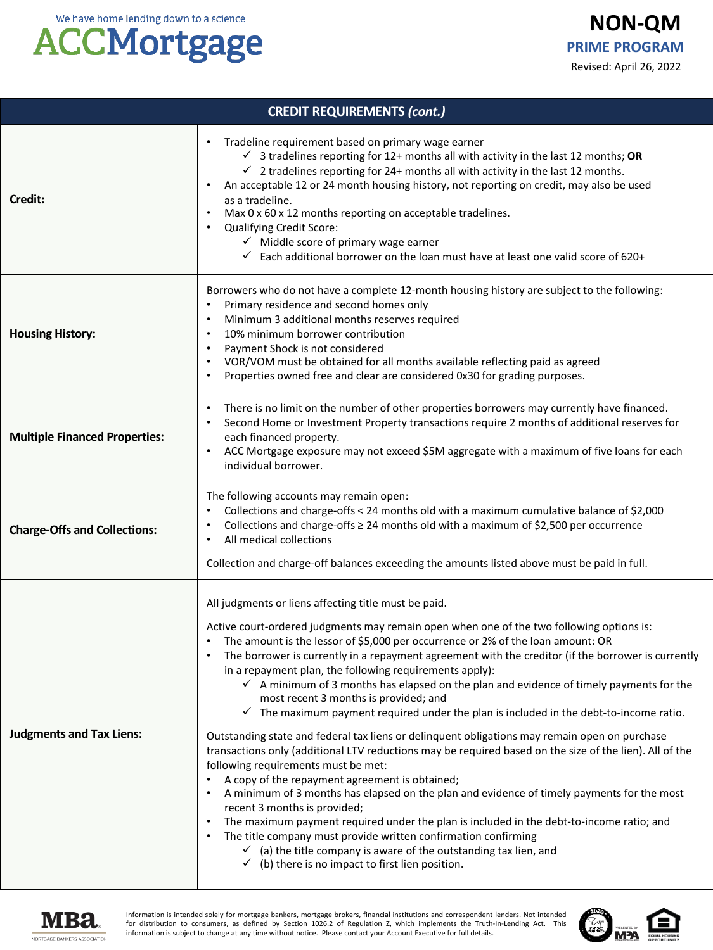#### **ACCMortgage**

| <b>CREDIT REQUIREMENTS (cont.)</b>   |                                                                                                                                                                                                                                                                                                                                                                                                                                                                                                                                                                                                                                                                                                                                                                                                                                                                                                                                                                                                                                                                                                                                                                                                                                                                                                                                                                                                          |  |  |
|--------------------------------------|----------------------------------------------------------------------------------------------------------------------------------------------------------------------------------------------------------------------------------------------------------------------------------------------------------------------------------------------------------------------------------------------------------------------------------------------------------------------------------------------------------------------------------------------------------------------------------------------------------------------------------------------------------------------------------------------------------------------------------------------------------------------------------------------------------------------------------------------------------------------------------------------------------------------------------------------------------------------------------------------------------------------------------------------------------------------------------------------------------------------------------------------------------------------------------------------------------------------------------------------------------------------------------------------------------------------------------------------------------------------------------------------------------|--|--|
| Credit:                              | Tradeline requirement based on primary wage earner<br>$\checkmark$ 3 tradelines reporting for 12+ months all with activity in the last 12 months; OR<br>$\checkmark$ 2 tradelines reporting for 24+ months all with activity in the last 12 months.<br>An acceptable 12 or 24 month housing history, not reporting on credit, may also be used<br>as a tradeline.<br>Max 0 x 60 x 12 months reporting on acceptable tradelines.<br><b>Qualifying Credit Score:</b><br>$\checkmark$ Middle score of primary wage earner<br>$\checkmark$ Each additional borrower on the loan must have at least one valid score of 620+                                                                                                                                                                                                                                                                                                                                                                                                                                                                                                                                                                                                                                                                                                                                                                                   |  |  |
| <b>Housing History:</b>              | Borrowers who do not have a complete 12-month housing history are subject to the following:<br>Primary residence and second homes only<br>$\bullet$<br>Minimum 3 additional months reserves required<br>$\bullet$<br>10% minimum borrower contribution<br>$\bullet$<br>Payment Shock is not considered<br>$\bullet$<br>VOR/VOM must be obtained for all months available reflecting paid as agreed<br>Properties owned free and clear are considered 0x30 for grading purposes.                                                                                                                                                                                                                                                                                                                                                                                                                                                                                                                                                                                                                                                                                                                                                                                                                                                                                                                          |  |  |
| <b>Multiple Financed Properties:</b> | There is no limit on the number of other properties borrowers may currently have financed.<br>Second Home or Investment Property transactions require 2 months of additional reserves for<br>$\bullet$<br>each financed property.<br>ACC Mortgage exposure may not exceed \$5M aggregate with a maximum of five loans for each<br>individual borrower.                                                                                                                                                                                                                                                                                                                                                                                                                                                                                                                                                                                                                                                                                                                                                                                                                                                                                                                                                                                                                                                   |  |  |
| <b>Charge-Offs and Collections:</b>  | The following accounts may remain open:<br>Collections and charge-offs < 24 months old with a maximum cumulative balance of \$2,000<br>$\bullet$<br>Collections and charge-offs $\geq$ 24 months old with a maximum of \$2,500 per occurrence<br>All medical collections<br>$\bullet$<br>Collection and charge-off balances exceeding the amounts listed above must be paid in full.                                                                                                                                                                                                                                                                                                                                                                                                                                                                                                                                                                                                                                                                                                                                                                                                                                                                                                                                                                                                                     |  |  |
| <b>Judgments and Tax Liens:</b>      | All judgments or liens affecting title must be paid.<br>Active court-ordered judgments may remain open when one of the two following options is:<br>The amount is the lessor of \$5,000 per occurrence or 2% of the loan amount: OR<br>The borrower is currently in a repayment agreement with the creditor (if the borrower is currently<br>in a repayment plan, the following requirements apply):<br>$\checkmark$ A minimum of 3 months has elapsed on the plan and evidence of timely payments for the<br>most recent 3 months is provided; and<br>$\checkmark$ The maximum payment required under the plan is included in the debt-to-income ratio.<br>Outstanding state and federal tax liens or delinquent obligations may remain open on purchase<br>transactions only (additional LTV reductions may be required based on the size of the lien). All of the<br>following requirements must be met:<br>A copy of the repayment agreement is obtained;<br>A minimum of 3 months has elapsed on the plan and evidence of timely payments for the most<br>recent 3 months is provided;<br>The maximum payment required under the plan is included in the debt-to-income ratio; and<br>The title company must provide written confirmation confirming<br>$\checkmark$ (a) the title company is aware of the outstanding tax lien, and<br>$\checkmark$ (b) there is no impact to first lien position. |  |  |



Information is intended solely for mortgage bankers, mortgage brokers, financial institutions and correspondent lenders. Not intended<br>for distribution to consumers, as defined by Section 1026.2 of Regulation Z, which imple

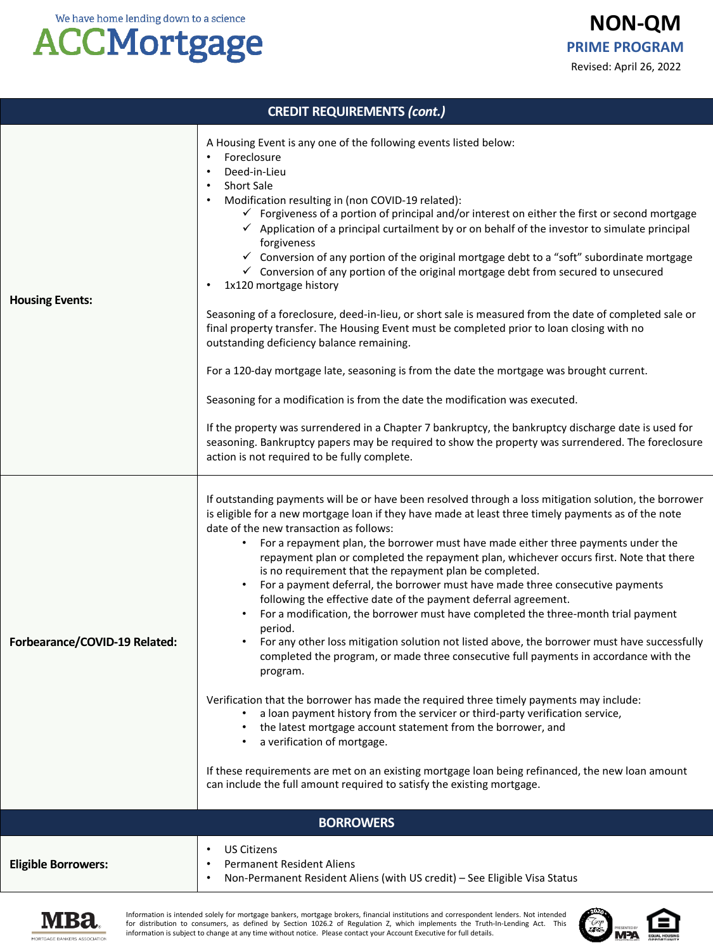#### **ACCMortgage**

**NON-QM** Revised: April 26, 2022 **PRIME PROGRAM**

| <b>CREDIT REQUIREMENTS (cont.)</b> |                                                                                                                                                                                                                                                                                                                                                                                                                                                                                                                                                                                                                                                                                                                                                                                                                                                                                                                                                                                                                                                                                                                                                                                                                                                                                                                                                                                                                                                                |  |  |
|------------------------------------|----------------------------------------------------------------------------------------------------------------------------------------------------------------------------------------------------------------------------------------------------------------------------------------------------------------------------------------------------------------------------------------------------------------------------------------------------------------------------------------------------------------------------------------------------------------------------------------------------------------------------------------------------------------------------------------------------------------------------------------------------------------------------------------------------------------------------------------------------------------------------------------------------------------------------------------------------------------------------------------------------------------------------------------------------------------------------------------------------------------------------------------------------------------------------------------------------------------------------------------------------------------------------------------------------------------------------------------------------------------------------------------------------------------------------------------------------------------|--|--|
| <b>Housing Events:</b>             | A Housing Event is any one of the following events listed below:<br>Foreclosure<br>$\bullet$<br>Deed-in-Lieu<br>٠<br><b>Short Sale</b><br>٠<br>Modification resulting in (non COVID-19 related):<br>$\checkmark$ Forgiveness of a portion of principal and/or interest on either the first or second mortgage<br>$\checkmark$ Application of a principal curtailment by or on behalf of the investor to simulate principal<br>forgiveness<br>✓ Conversion of any portion of the original mortgage debt to a "soft" subordinate mortgage<br>$\checkmark$ Conversion of any portion of the original mortgage debt from secured to unsecured<br>1x120 mortgage history<br>٠<br>Seasoning of a foreclosure, deed-in-lieu, or short sale is measured from the date of completed sale or<br>final property transfer. The Housing Event must be completed prior to loan closing with no<br>outstanding deficiency balance remaining.<br>For a 120-day mortgage late, seasoning is from the date the mortgage was brought current.<br>Seasoning for a modification is from the date the modification was executed.<br>If the property was surrendered in a Chapter 7 bankruptcy, the bankruptcy discharge date is used for<br>seasoning. Bankruptcy papers may be required to show the property was surrendered. The foreclosure<br>action is not required to be fully complete.                                                                                       |  |  |
| Forbearance/COVID-19 Related:      | If outstanding payments will be or have been resolved through a loss mitigation solution, the borrower<br>is eligible for a new mortgage loan if they have made at least three timely payments as of the note<br>date of the new transaction as follows:<br>For a repayment plan, the borrower must have made either three payments under the<br>$\bullet$<br>repayment plan or completed the repayment plan, whichever occurs first. Note that there<br>is no requirement that the repayment plan be completed.<br>For a payment deferral, the borrower must have made three consecutive payments<br>following the effective date of the payment deferral agreement.<br>For a modification, the borrower must have completed the three-month trial payment<br>$\bullet$<br>period.<br>For any other loss mitigation solution not listed above, the borrower must have successfully<br>$\bullet$<br>completed the program, or made three consecutive full payments in accordance with the<br>program.<br>Verification that the borrower has made the required three timely payments may include:<br>a loan payment history from the servicer or third-party verification service,<br>the latest mortgage account statement from the borrower, and<br>a verification of mortgage.<br>If these requirements are met on an existing mortgage loan being refinanced, the new loan amount<br>can include the full amount required to satisfy the existing mortgage. |  |  |
|                                    | <b>BORROWERS</b>                                                                                                                                                                                                                                                                                                                                                                                                                                                                                                                                                                                                                                                                                                                                                                                                                                                                                                                                                                                                                                                                                                                                                                                                                                                                                                                                                                                                                                               |  |  |
| <b>Eligible Borrowers:</b>         | <b>US Citizens</b><br>٠<br><b>Permanent Resident Aliens</b><br>٠<br>Non-Permanent Resident Aliens (with US credit) - See Eligible Visa Status<br>٠                                                                                                                                                                                                                                                                                                                                                                                                                                                                                                                                                                                                                                                                                                                                                                                                                                                                                                                                                                                                                                                                                                                                                                                                                                                                                                             |  |  |



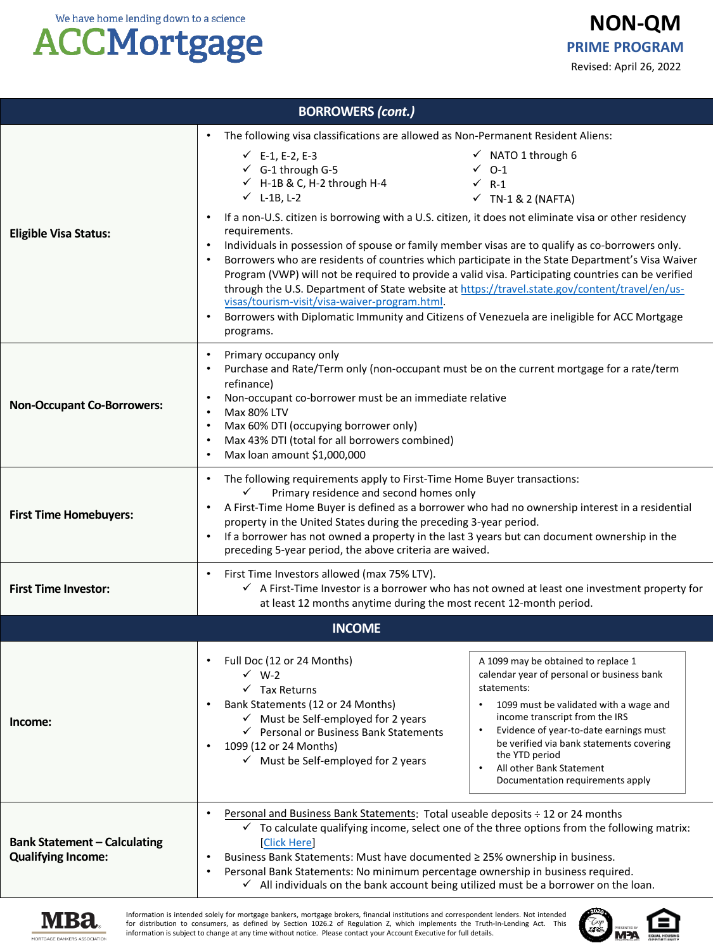#### **ACCMortgage**

| <b>NON-QM</b>           |  |  |  |
|-------------------------|--|--|--|
| <b>PRIME PROGRAM</b>    |  |  |  |
| Revised: April 26, 2022 |  |  |  |

| <b>BORROWERS (cont.)</b>                                         |                                                                                                                                                                                                                                                                                                                                                                                                                                                                                                                                                                                                                                                                                                                                                                                                                                                                                                                                                                                                                                                                |  |  |  |  |
|------------------------------------------------------------------|----------------------------------------------------------------------------------------------------------------------------------------------------------------------------------------------------------------------------------------------------------------------------------------------------------------------------------------------------------------------------------------------------------------------------------------------------------------------------------------------------------------------------------------------------------------------------------------------------------------------------------------------------------------------------------------------------------------------------------------------------------------------------------------------------------------------------------------------------------------------------------------------------------------------------------------------------------------------------------------------------------------------------------------------------------------|--|--|--|--|
| <b>Eligible Visa Status:</b>                                     | The following visa classifications are allowed as Non-Permanent Resident Aliens:<br>$\checkmark$ NATO 1 through 6<br>$\checkmark$ E-1, E-2, E-3<br>$\checkmark$ G-1 through G-5<br>$\checkmark$ 0-1<br>$\checkmark$ H-1B & C, H-2 through H-4<br>$\checkmark$ R-1<br>$\checkmark$ L-1B, L-2<br>$\checkmark$ TN-1 & 2 (NAFTA)<br>If a non-U.S. citizen is borrowing with a U.S. citizen, it does not eliminate visa or other residency<br>requirements.<br>Individuals in possession of spouse or family member visas are to qualify as co-borrowers only.<br>Borrowers who are residents of countries which participate in the State Department's Visa Waiver<br>$\bullet$<br>Program (VWP) will not be required to provide a valid visa. Participating countries can be verified<br>through the U.S. Department of State website at https://travel.state.gov/content/travel/en/us-<br>visas/tourism-visit/visa-waiver-program.html.<br>Borrowers with Diplomatic Immunity and Citizens of Venezuela are ineligible for ACC Mortgage<br>$\bullet$<br>programs. |  |  |  |  |
| <b>Non-Occupant Co-Borrowers:</b>                                | Primary occupancy only<br>$\bullet$<br>Purchase and Rate/Term only (non-occupant must be on the current mortgage for a rate/term<br>$\bullet$<br>refinance)<br>Non-occupant co-borrower must be an immediate relative<br><b>Max 80% LTV</b><br>$\bullet$<br>Max 60% DTI (occupying borrower only)<br>$\bullet$<br>Max 43% DTI (total for all borrowers combined)<br>$\bullet$<br>Max loan amount \$1,000,000                                                                                                                                                                                                                                                                                                                                                                                                                                                                                                                                                                                                                                                   |  |  |  |  |
| <b>First Time Homebuyers:</b>                                    | The following requirements apply to First-Time Home Buyer transactions:<br>✓<br>Primary residence and second homes only<br>A First-Time Home Buyer is defined as a borrower who had no ownership interest in a residential<br>property in the United States during the preceding 3-year period.<br>If a borrower has not owned a property in the last 3 years but can document ownership in the<br>preceding 5-year period, the above criteria are waived.                                                                                                                                                                                                                                                                                                                                                                                                                                                                                                                                                                                                     |  |  |  |  |
| <b>First Time Investor:</b>                                      | First Time Investors allowed (max 75% LTV).<br>$\checkmark$ A First-Time Investor is a borrower who has not owned at least one investment property for<br>at least 12 months anytime during the most recent 12-month period.                                                                                                                                                                                                                                                                                                                                                                                                                                                                                                                                                                                                                                                                                                                                                                                                                                   |  |  |  |  |
| <b>INCOME</b>                                                    |                                                                                                                                                                                                                                                                                                                                                                                                                                                                                                                                                                                                                                                                                                                                                                                                                                                                                                                                                                                                                                                                |  |  |  |  |
| Income:                                                          | Full Doc (12 or 24 Months)<br>A 1099 may be obtained to replace 1<br>calendar year of personal or business bank<br>$\checkmark$ W-2<br>statements:<br>$\checkmark$ Tax Returns<br>Bank Statements (12 or 24 Months)<br>1099 must be validated with a wage and<br>income transcript from the IRS<br>$\checkmark$ Must be Self-employed for 2 years<br>Evidence of year-to-date earnings must<br>Personal or Business Bank Statements<br>$\bullet$<br>✓<br>be verified via bank statements covering<br>1099 (12 or 24 Months)<br>$\bullet$<br>the YTD period<br>$\checkmark$ Must be Self-employed for 2 years<br>All other Bank Statement<br>Documentation requirements apply                                                                                                                                                                                                                                                                                                                                                                                   |  |  |  |  |
| <b>Bank Statement - Calculating</b><br><b>Qualifying Income:</b> | Personal and Business Bank Statements: Total useable deposits ÷ 12 or 24 months<br>$\checkmark$ To calculate qualifying income, select one of the three options from the following matrix:<br><b>Click Here</b><br>Business Bank Statements: Must have documented ≥ 25% ownership in business.<br>Personal Bank Statements: No minimum percentage ownership in business required.<br>$\bullet$<br>$\checkmark$ All individuals on the bank account being utilized must be a borrower on the loan.                                                                                                                                                                                                                                                                                                                                                                                                                                                                                                                                                              |  |  |  |  |



Information is intended solely for mortgage bankers, mortgage brokers, financial institutions and correspondent lenders. Not intended<br>for distribution to consumers, as defined by Section 1026.2 of Regulation Z, which imple

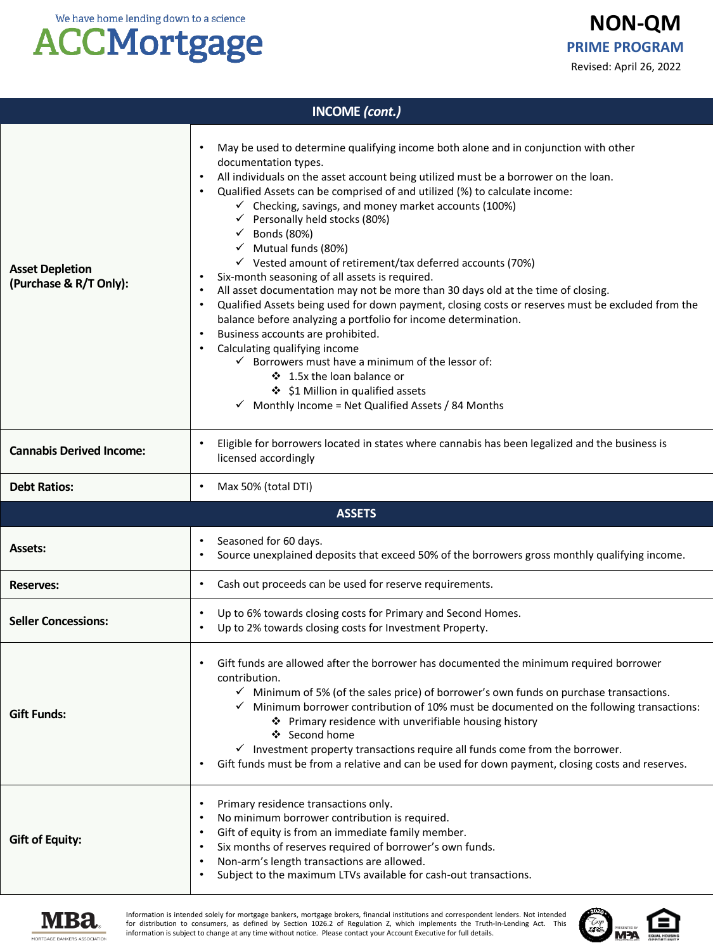## **ACCMortgage**

| <b>INCOME</b> (cont.)                            |                                                                                                                                                                                                                                                                                                                                                                                                                                                                                                                                                                                                                                                                                                                                                                                                                                                                                                                                                                                                                                                                                                                                                            |  |  |
|--------------------------------------------------|------------------------------------------------------------------------------------------------------------------------------------------------------------------------------------------------------------------------------------------------------------------------------------------------------------------------------------------------------------------------------------------------------------------------------------------------------------------------------------------------------------------------------------------------------------------------------------------------------------------------------------------------------------------------------------------------------------------------------------------------------------------------------------------------------------------------------------------------------------------------------------------------------------------------------------------------------------------------------------------------------------------------------------------------------------------------------------------------------------------------------------------------------------|--|--|
| <b>Asset Depletion</b><br>(Purchase & R/T Only): | May be used to determine qualifying income both alone and in conjunction with other<br>$\bullet$<br>documentation types.<br>All individuals on the asset account being utilized must be a borrower on the loan.<br>Qualified Assets can be comprised of and utilized (%) to calculate income:<br>$\checkmark$ Checking, savings, and money market accounts (100%)<br>$\checkmark$ Personally held stocks (80%)<br>$\checkmark$ Bonds (80%)<br>$\checkmark$ Mutual funds (80%)<br>$\checkmark$ Vested amount of retirement/tax deferred accounts (70%)<br>Six-month seasoning of all assets is required.<br>All asset documentation may not be more than 30 days old at the time of closing.<br>$\bullet$<br>Qualified Assets being used for down payment, closing costs or reserves must be excluded from the<br>balance before analyzing a portfolio for income determination.<br>Business accounts are prohibited.<br>Calculating qualifying income<br>$\checkmark$ Borrowers must have a minimum of the lessor of:<br>❖ 1.5x the loan balance or<br>❖ \$1 Million in qualified assets<br>$\checkmark$ Monthly Income = Net Qualified Assets / 84 Months |  |  |
| <b>Cannabis Derived Income:</b>                  | Eligible for borrowers located in states where cannabis has been legalized and the business is<br>licensed accordingly                                                                                                                                                                                                                                                                                                                                                                                                                                                                                                                                                                                                                                                                                                                                                                                                                                                                                                                                                                                                                                     |  |  |
| <b>Debt Ratios:</b>                              | Max 50% (total DTI)<br>٠                                                                                                                                                                                                                                                                                                                                                                                                                                                                                                                                                                                                                                                                                                                                                                                                                                                                                                                                                                                                                                                                                                                                   |  |  |
|                                                  | <b>ASSETS</b>                                                                                                                                                                                                                                                                                                                                                                                                                                                                                                                                                                                                                                                                                                                                                                                                                                                                                                                                                                                                                                                                                                                                              |  |  |
| <b>Assets:</b>                                   | Seasoned for 60 days.<br>Source unexplained deposits that exceed 50% of the borrowers gross monthly qualifying income.                                                                                                                                                                                                                                                                                                                                                                                                                                                                                                                                                                                                                                                                                                                                                                                                                                                                                                                                                                                                                                     |  |  |
| <b>Reserves:</b>                                 | Cash out proceeds can be used for reserve requirements.<br>$\bullet$                                                                                                                                                                                                                                                                                                                                                                                                                                                                                                                                                                                                                                                                                                                                                                                                                                                                                                                                                                                                                                                                                       |  |  |
| <b>Seller Concessions:</b>                       | Up to 6% towards closing costs for Primary and Second Homes.<br>٠<br>Up to 2% towards closing costs for Investment Property.                                                                                                                                                                                                                                                                                                                                                                                                                                                                                                                                                                                                                                                                                                                                                                                                                                                                                                                                                                                                                               |  |  |
|                                                  |                                                                                                                                                                                                                                                                                                                                                                                                                                                                                                                                                                                                                                                                                                                                                                                                                                                                                                                                                                                                                                                                                                                                                            |  |  |
| <b>Gift Funds:</b>                               | Gift funds are allowed after the borrower has documented the minimum required borrower<br>contribution.<br>$\checkmark$ Minimum of 5% (of the sales price) of borrower's own funds on purchase transactions.<br>$\checkmark$ Minimum borrower contribution of 10% must be documented on the following transactions:<br>❖ Primary residence with unverifiable housing history<br>❖ Second home<br>$\checkmark$ Investment property transactions require all funds come from the borrower.<br>Gift funds must be from a relative and can be used for down payment, closing costs and reserves.<br>٠                                                                                                                                                                                                                                                                                                                                                                                                                                                                                                                                                          |  |  |



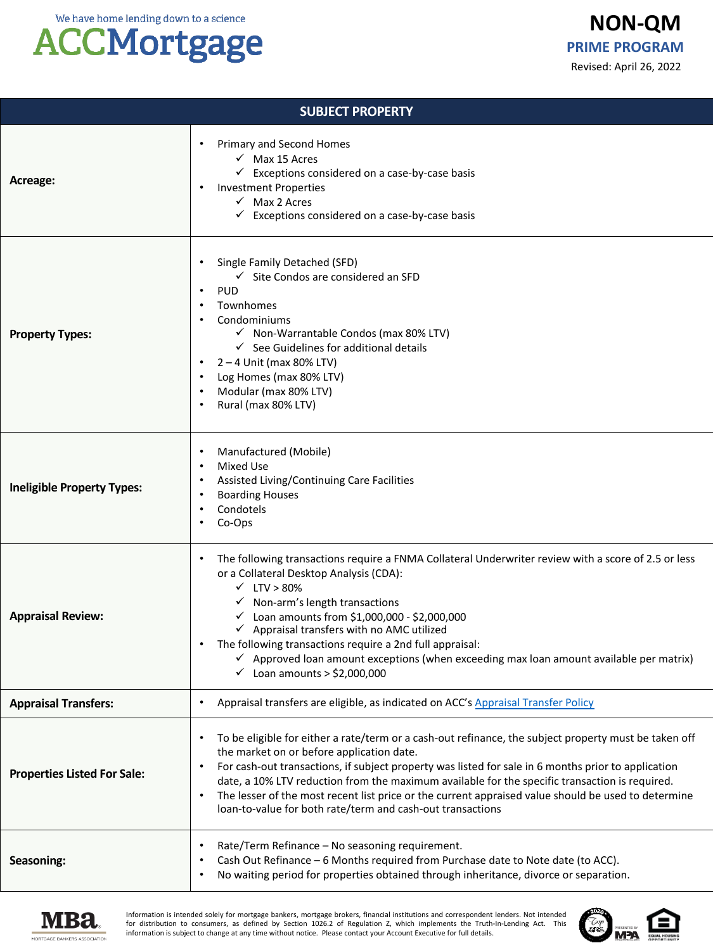#### **ACCMortgage**

| <b>SUBJECT PROPERTY</b>            |                                                                                                                                                                                                                                                                                                                                                                                                                                                                                                                                               |  |  |
|------------------------------------|-----------------------------------------------------------------------------------------------------------------------------------------------------------------------------------------------------------------------------------------------------------------------------------------------------------------------------------------------------------------------------------------------------------------------------------------------------------------------------------------------------------------------------------------------|--|--|
| Acreage:                           | <b>Primary and Second Homes</b><br>$\checkmark$ Max 15 Acres<br>$\checkmark$ Exceptions considered on a case-by-case basis<br><b>Investment Properties</b><br>$\checkmark$ Max 2 Acres<br>$\checkmark$ Exceptions considered on a case-by-case basis                                                                                                                                                                                                                                                                                          |  |  |
| <b>Property Types:</b>             | Single Family Detached (SFD)<br>$\checkmark$ Site Condos are considered an SFD<br><b>PUD</b><br>Townhomes<br>Condominiums<br>√ Non-Warrantable Condos (max 80% LTV)<br>$\checkmark$ See Guidelines for additional details<br>$2 - 4$ Unit (max 80% LTV)<br>Log Homes (max 80% LTV)<br>Modular (max 80% LTV)<br>Rural (max 80% LTV)                                                                                                                                                                                                            |  |  |
| <b>Ineligible Property Types:</b>  | Manufactured (Mobile)<br>Mixed Use<br>Assisted Living/Continuing Care Facilities<br><b>Boarding Houses</b><br>Condotels<br>Co-Ops                                                                                                                                                                                                                                                                                                                                                                                                             |  |  |
| <b>Appraisal Review:</b>           | The following transactions require a FNMA Collateral Underwriter review with a score of 2.5 or less<br>or a Collateral Desktop Analysis (CDA):<br>$\checkmark$ LTV > 80%<br>$\checkmark$ Non-arm's length transactions<br>$\checkmark$ Loan amounts from \$1,000,000 - \$2,000,000<br>√ Appraisal transfers with no AMC utilized<br>The following transactions require a 2nd full appraisal:<br>Approved loan amount exceptions (when exceeding max loan amount available per matrix)<br>$\checkmark$ Loan amounts > \$2,000,000              |  |  |
| <b>Appraisal Transfers:</b>        | Appraisal transfers are eligible, as indicated on ACC's Appraisal Transfer Policy                                                                                                                                                                                                                                                                                                                                                                                                                                                             |  |  |
| <b>Properties Listed For Sale:</b> | To be eligible for either a rate/term or a cash-out refinance, the subject property must be taken off<br>the market on or before application date.<br>For cash-out transactions, if subject property was listed for sale in 6 months prior to application<br>date, a 10% LTV reduction from the maximum available for the specific transaction is required.<br>The lesser of the most recent list price or the current appraised value should be used to determine<br>$\bullet$<br>loan-to-value for both rate/term and cash-out transactions |  |  |
| Seasoning:                         | Rate/Term Refinance - No seasoning requirement.<br>Cash Out Refinance - 6 Months required from Purchase date to Note date (to ACC).<br>No waiting period for properties obtained through inheritance, divorce or separation.                                                                                                                                                                                                                                                                                                                  |  |  |



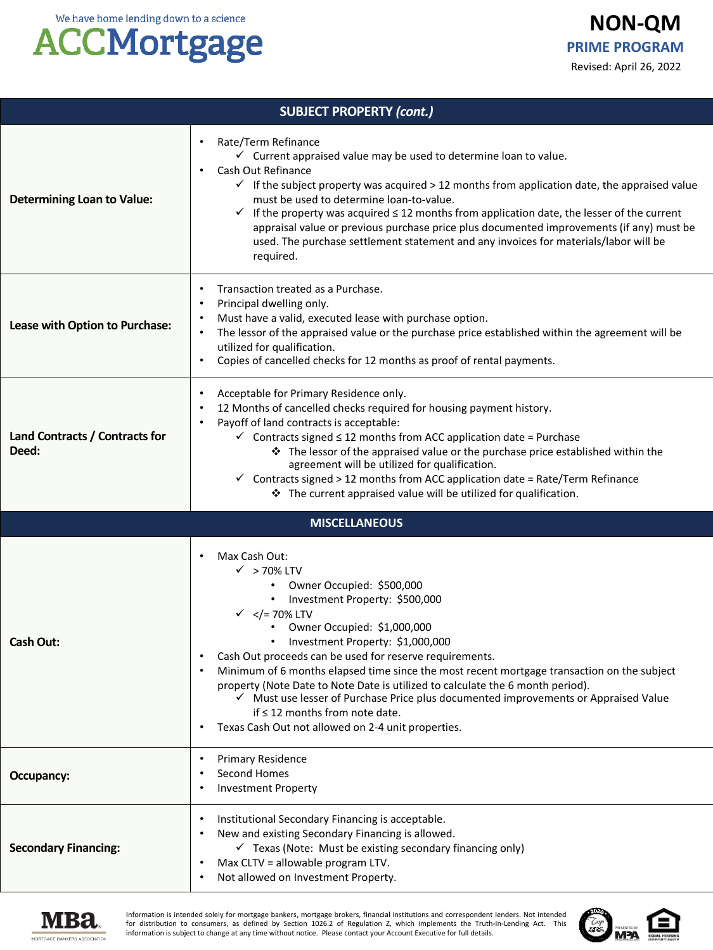### **ACCMortgage**

| <b>SUBJECT PROPERTY (cont.)</b>         |                                                                                                                                                                                                                                                                                                                                                                                                                                                                                                                                                                                                                                                                           |  |  |
|-----------------------------------------|---------------------------------------------------------------------------------------------------------------------------------------------------------------------------------------------------------------------------------------------------------------------------------------------------------------------------------------------------------------------------------------------------------------------------------------------------------------------------------------------------------------------------------------------------------------------------------------------------------------------------------------------------------------------------|--|--|
| <b>Determining Loan to Value:</b>       | Rate/Term Refinance<br>$\bullet$<br>$\checkmark$ Current appraised value may be used to determine loan to value.<br>Cash Out Refinance<br>٠<br>$\checkmark$ If the subject property was acquired > 12 months from application date, the appraised value<br>must be used to determine loan-to-value.<br>If the property was acquired $\leq$ 12 months from application date, the lesser of the current<br>$\checkmark$<br>appraisal value or previous purchase price plus documented improvements (if any) must be<br>used. The purchase settlement statement and any invoices for materials/labor will be<br>required.                                                    |  |  |
| Lease with Option to Purchase:          | Transaction treated as a Purchase.<br>Principal dwelling only.<br>٠<br>Must have a valid, executed lease with purchase option.<br>The lessor of the appraised value or the purchase price established within the agreement will be<br>utilized for qualification.<br>Copies of cancelled checks for 12 months as proof of rental payments.<br>$\bullet$                                                                                                                                                                                                                                                                                                                   |  |  |
| Land Contracts / Contracts for<br>Deed: | Acceptable for Primary Residence only.<br>$\bullet$<br>12 Months of cancelled checks required for housing payment history.<br>٠<br>Payoff of land contracts is acceptable:<br>٠<br>$\checkmark$ Contracts signed $\leq$ 12 months from ACC application date = Purchase<br>The lessor of the appraised value or the purchase price established within the<br>agreement will be utilized for qualification.<br>$\checkmark$ Contracts signed > 12 months from ACC application date = Rate/Term Refinance<br>❖ The current appraised value will be utilized for qualification.                                                                                               |  |  |
|                                         | <b>MISCELLANEOUS</b>                                                                                                                                                                                                                                                                                                                                                                                                                                                                                                                                                                                                                                                      |  |  |
| Cash Out:                               | Max Cash Out:<br>٠<br>$\checkmark$ > 70% LTV<br>Owner Occupied: \$500,000<br>Investment Property: \$500,000<br>$\bullet$<br>$\checkmark$ = 70% LTV<br Owner Occupied: \$1,000,000<br>$\bullet$<br>Investment Property: \$1,000,000<br>Cash Out proceeds can be used for reserve requirements.<br>Minimum of 6 months elapsed time since the most recent mortgage transaction on the subject<br>٠<br>property (Note Date to Note Date is utilized to calculate the 6 month period).<br>Must use lesser of Purchase Price plus documented improvements or Appraised Value<br>if $\leq$ 12 months from note date.<br>Texas Cash Out not allowed on 2-4 unit properties.<br>٠ |  |  |
| Occupancy:                              | <b>Primary Residence</b><br>٠<br>Second Homes<br><b>Investment Property</b>                                                                                                                                                                                                                                                                                                                                                                                                                                                                                                                                                                                               |  |  |
| <b>Secondary Financing:</b>             | Institutional Secondary Financing is acceptable.<br>٠<br>New and existing Secondary Financing is allowed.<br>$\checkmark$ Texas (Note: Must be existing secondary financing only)<br>Max CLTV = allowable program LTV.<br>Not allowed on Investment Property.<br>٠                                                                                                                                                                                                                                                                                                                                                                                                        |  |  |